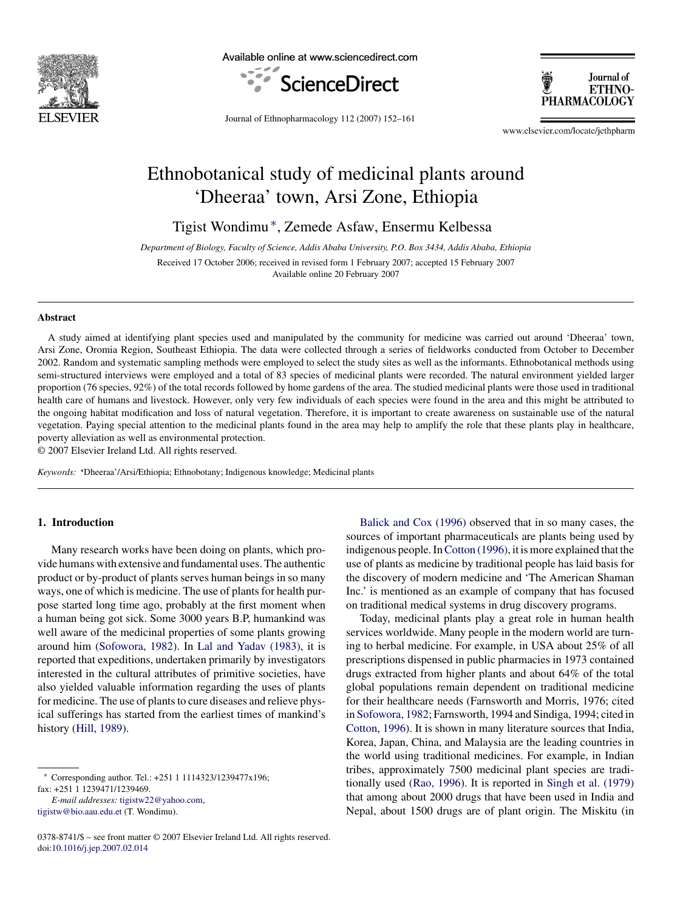

Available online at www.sciencedirect.com





Journal of Ethnopharmacology 112 (2007) 152–161

www.elsevier.com/locate/jethpharm

# Ethnobotanical study of medicinal plants around 'Dheeraa' town, Arsi Zone, Ethiopia

Tigist Wondimu ∗, Zemede Asfaw, Ensermu Kelbessa

*Department of Biology, Faculty of Science, Addis Ababa University, P.O. Box 3434, Addis Ababa, Ethiopia* Received 17 October 2006; received in revised form 1 February 2007; accepted 15 February 2007 Available online 20 February 2007

#### **Abstract**

A study aimed at identifying plant species used and manipulated by the community for medicine was carried out around 'Dheeraa' town, Arsi Zone, Oromia Region, Southeast Ethiopia. The data were collected through a series of fieldworks conducted from October to December 2002. Random and systematic sampling methods were employed to select the study sites as well as the informants. Ethnobotanical methods using semi-structured interviews were employed and a total of 83 species of medicinal plants were recorded. The natural environment yielded larger proportion (76 species, 92%) of the total records followed by home gardens of the area. The studied medicinal plants were those used in traditional health care of humans and livestock. However, only very few individuals of each species were found in the area and this might be attributed to the ongoing habitat modification and loss of natural vegetation. Therefore, it is important to create awareness on sustainable use of the natural vegetation. Paying special attention to the medicinal plants found in the area may help to amplify the role that these plants play in healthcare, poverty alleviation as well as environmental protection.

© 2007 Elsevier Ireland Ltd. All rights reserved.

*Keywords:* **'**Dheeraa'/Arsi/Ethiopia; Ethnobotany; Indigenous knowledge; Medicinal plants

# **1. Introduction**

Many research works have been doing on plants, which provide humans with extensive and fundamental uses. The authentic product or by-product of plants serves human beings in so many ways, one of which is medicine. The use of plants for health purpose started long time ago, probably at the first moment when a human being got sick. Some 3000 years B.P, humankind was well aware of the medicinal properties of some plants growing around him [\(Sofowora, 1982\).](#page-9-0) In [Lal and Yadav \(1983\),](#page-9-0) it is reported that expeditions, undertaken primarily by investigators interested in the cultural attributes of primitive societies, have also yielded valuable information regarding the uses of plants for medicine. The use of plants to cure diseases and relieve physical sufferings has started from the earliest times of mankind's history [\(Hill, 1989\).](#page-9-0)

*E-mail addresses:* [tigistw22@yahoo.com,](mailto:tigistw22@yahoo.com) [tigistw@bio.aau.edu.et](mailto:tigistw@bio.aau.edu.et) (T. Wondimu).

[Balick and Cox \(1996\)](#page-8-0) observed that in so many cases, the sources of important pharmaceuticals are plants being used by indigenous people. In[Cotton \(1996\), i](#page-9-0)t is more explained that the use of plants as medicine by traditional people has laid basis for the discovery of modern medicine and 'The American Shaman Inc.' is mentioned as an example of company that has focused on traditional medical systems in drug discovery programs.

Today, medicinal plants play a great role in human health services worldwide. Many people in the modern world are turning to herbal medicine. For example, in USA about 25% of all prescriptions dispensed in public pharmacies in 1973 contained drugs extracted from higher plants and about 64% of the total global populations remain dependent on traditional medicine for their healthcare needs (Farnsworth and Morris, 1976; cited in [Sofowora, 1982; F](#page-9-0)arnsworth, 1994 and Sindiga, 1994; cited in [Cotton, 1996\).](#page-9-0) It is shown in many literature sources that India, Korea, Japan, China, and Malaysia are the leading countries in the world using traditional medicines. For example, in Indian tribes, approximately 7500 medicinal plant species are traditionally used [\(Rao, 1996\).](#page-9-0) It is reported in [Singh et al. \(1979\)](#page-9-0) that among about 2000 drugs that have been used in India and Nepal, about 1500 drugs are of plant origin. The Miskitu (in

<sup>∗</sup> Corresponding author. Tel.: +251 1 1114323/1239477x196; fax: +251 1 1239471/1239469.

<sup>0378-8741/\$ –</sup> see front matter © 2007 Elsevier Ireland Ltd. All rights reserved. doi[:10.1016/j.jep.2007.02.014](dx.doi.org/10.1016/j.jep.2007.02.014)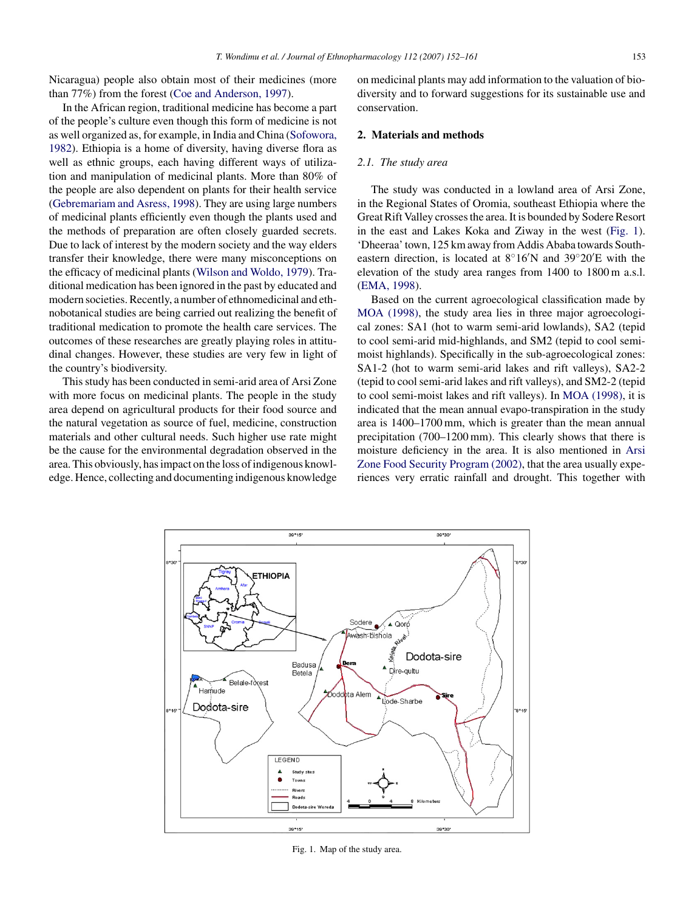Nicaragua) people also obtain most of their medicines (more than 77%) from the forest [\(Coe and Anderson, 1997\).](#page-8-0)

In the African region, traditional medicine has become a part of the people's culture even though this form of medicine is not as well organized as, for example, in India and China ([Sofowora,](#page-9-0) [1982\).](#page-9-0) Ethiopia is a home of diversity, having diverse flora as well as ethnic groups, each having different ways of utilization and manipulation of medicinal plants. More than 80% of the people are also dependent on plants for their health service ([Gebremariam and Asress, 1998\).](#page-9-0) They are using large numbers of medicinal plants efficiently even though the plants used and the methods of preparation are often closely guarded secrets. Due to lack of interest by the modern society and the way elders transfer their knowledge, there were many misconceptions on the efficacy of medicinal plants [\(Wilson and Woldo, 1979\).](#page-9-0) Traditional medication has been ignored in the past by educated and modern societies. Recently, a number of ethnomedicinal and ethnobotanical studies are being carried out realizing the benefit of traditional medication to promote the health care services. The outcomes of these researches are greatly playing roles in attitudinal changes. However, these studies are very few in light of the country's biodiversity.

This study has been conducted in semi-arid area of Arsi Zone with more focus on medicinal plants. The people in the study area depend on agricultural products for their food source and the natural vegetation as source of fuel, medicine, construction materials and other cultural needs. Such higher use rate might be the cause for the environmental degradation observed in the area. This obviously, has impact on the loss of indigenous knowledge. Hence, collecting and documenting indigenous knowledge on medicinal plants may add information to the valuation of biodiversity and to forward suggestions for its sustainable use and conservation.

# **2. Materials and methods**

# *2.1. The study area*

The study was conducted in a lowland area of Arsi Zone, in the Regional States of Oromia, southeast Ethiopia where the Great Rift Valley crosses the area. It is bounded by Sodere Resort in the east and Lakes Koka and Ziway in the west (Fig. 1). 'Dheeraa' town, 125 km away from Addis Ababa towards Southeastern direction, is located at 8◦16 N and 39◦20 E with the elevation of the study area ranges from 1400 to 1800 m a.s.l. ([EMA, 1998\).](#page-9-0)

Based on the current agroecological classification made by [MOA \(1998\),](#page-9-0) the study area lies in three major agroecological zones: SA1 (hot to warm semi-arid lowlands), SA2 (tepid to cool semi-arid mid-highlands, and SM2 (tepid to cool semimoist highlands). Specifically in the sub-agroecological zones: SA1-2 (hot to warm semi-arid lakes and rift valleys), SA2-2 (tepid to cool semi-arid lakes and rift valleys), and SM2-2 (tepid to cool semi-moist lakes and rift valleys). In [MOA \(1998\), i](#page-9-0)t is indicated that the mean annual evapo-transpiration in the study area is 1400–1700 mm, which is greater than the mean annual precipitation (700–1200 mm). This clearly shows that there is moisture deficiency in the area. It is also mentioned in [Arsi](#page-8-0) [Zone Food Security Program \(2002\), t](#page-8-0)hat the area usually experiences very erratic rainfall and drought. This together with



Fig. 1. Map of the study area.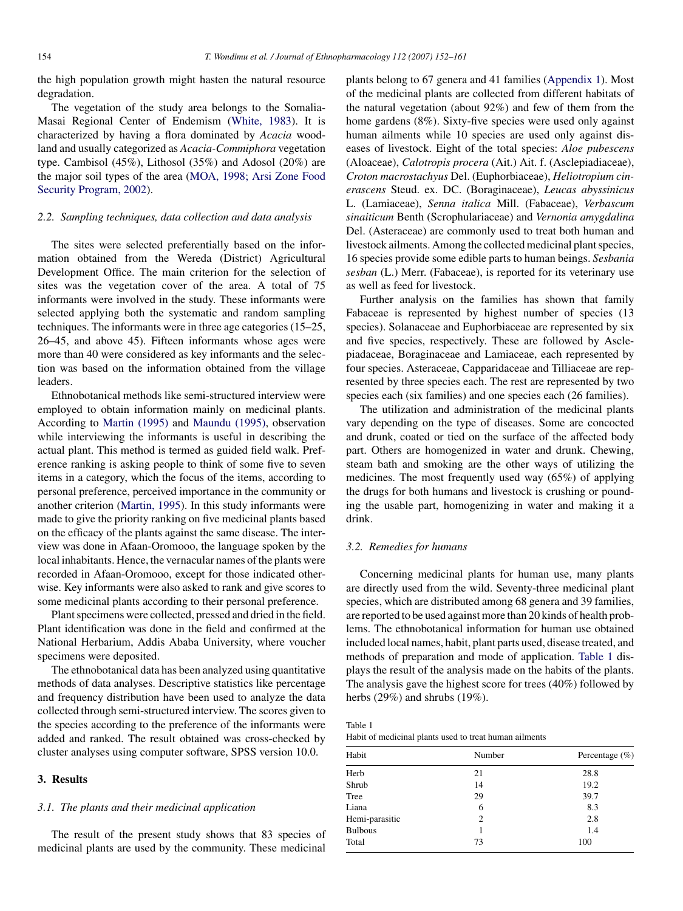the high population growth might hasten the natural resource degradation.

The vegetation of the study area belongs to the Somalia-Masai Regional Center of Endemism ([White, 1983\).](#page-9-0) It is characterized by having a flora dominated by *Acacia* woodland and usually categorized as *Acacia-Commiphora* vegetation type. Cambisol (45%), Lithosol (35%) and Adosol (20%) are the major soil types of the area ([MOA, 1998; Arsi Zone Food](#page-9-0) [Security Program, 2002\).](#page-9-0)

# *2.2. Sampling techniques, data collection and data analysis*

The sites were selected preferentially based on the information obtained from the Wereda (District) Agricultural Development Office. The main criterion for the selection of sites was the vegetation cover of the area. A total of 75 informants were involved in the study. These informants were selected applying both the systematic and random sampling techniques. The informants were in three age categories (15–25, 26–45, and above 45). Fifteen informants whose ages were more than 40 were considered as key informants and the selection was based on the information obtained from the village leaders.

Ethnobotanical methods like semi-structured interview were employed to obtain information mainly on medicinal plants. According to [Martin \(1995\)](#page-9-0) and [Maundu \(1995\),](#page-9-0) observation while interviewing the informants is useful in describing the actual plant. This method is termed as guided field walk. Preference ranking is asking people to think of some five to seven items in a category, which the focus of the items, according to personal preference, perceived importance in the community or another criterion [\(Martin, 1995\).](#page-9-0) In this study informants were made to give the priority ranking on five medicinal plants based on the efficacy of the plants against the same disease. The interview was done in Afaan-Oromooo, the language spoken by the local inhabitants. Hence, the vernacular names of the plants were recorded in Afaan-Oromooo, except for those indicated otherwise. Key informants were also asked to rank and give scores to some medicinal plants according to their personal preference.

Plant specimens were collected, pressed and dried in the field. Plant identification was done in the field and confirmed at the National Herbarium, Addis Ababa University, where voucher specimens were deposited.

The ethnobotanical data has been analyzed using quantitative methods of data analyses. Descriptive statistics like percentage and frequency distribution have been used to analyze the data collected through semi-structured interview. The scores given to the species according to the preference of the informants were added and ranked. The result obtained was cross-checked by cluster analyses using computer software, SPSS version 10.0.

# **3. Results**

# *3.1. The plants and their medicinal application*

The result of the present study shows that 83 species of medicinal plants are used by the community. These medicinal plants belong to 67 genera and 41 families [\(Appendix 1\).](#page-6-0) Most of the medicinal plants are collected from different habitats of the natural vegetation (about 92%) and few of them from the home gardens (8%). Sixty-five species were used only against human ailments while 10 species are used only against diseases of livestock. Eight of the total species: *Aloe pubescens* (Aloaceae), *Calotropis procera* (Ait.) Ait. f. (Asclepiadiaceae), *Croton macrostachyus* Del. (Euphorbiaceae), *Heliotropium cinerascens* Steud. ex. DC. (Boraginaceae), *Leucas abyssinicus* L. (Lamiaceae), *Senna italica* Mill. (Fabaceae), *Verbascum sinaiticum* Benth (Scrophulariaceae) and *Vernonia amygdalina* Del. (Asteraceae) are commonly used to treat both human and livestock ailments. Among the collected medicinal plant species, 16 species provide some edible parts to human beings. *Sesbania sesban* (L.) Merr. (Fabaceae), is reported for its veterinary use as well as feed for livestock.

Further analysis on the families has shown that family Fabaceae is represented by highest number of species  $(13)$ species). Solanaceae and Euphorbiaceae are represented by six and five species, respectively. These are followed by Asclepiadaceae, Boraginaceae and Lamiaceae, each represented by four species. Asteraceae, Capparidaceae and Tilliaceae are represented by three species each. The rest are represented by two species each (six families) and one species each (26 families).

The utilization and administration of the medicinal plants vary depending on the type of diseases. Some are concocted and drunk, coated or tied on the surface of the affected body part. Others are homogenized in water and drunk. Chewing, steam bath and smoking are the other ways of utilizing the medicines. The most frequently used way (65%) of applying the drugs for both humans and livestock is crushing or pounding the usable part, homogenizing in water and making it a drink.

# *3.2. Remedies for humans*

Concerning medicinal plants for human use, many plants are directly used from the wild. Seventy-three medicinal plant species, which are distributed among 68 genera and 39 families, are reported to be used against more than 20 kinds of health problems. The ethnobotanical information for human use obtained included local names, habit, plant parts used, disease treated, and methods of preparation and mode of application. Table 1 displays the result of the analysis made on the habits of the plants. The analysis gave the highest score for trees (40%) followed by herbs (29%) and shrubs (19%).

| Table 1                                                |  |  |  |
|--------------------------------------------------------|--|--|--|
| Habit of medicinal plants used to treat human ailments |  |  |  |

| Habit          | Number         | Percentage $(\% )$ |
|----------------|----------------|--------------------|
| Herb           | 21             | 28.8               |
| Shrub          | 14             | 19.2               |
| Tree           | 29             | 39.7               |
| Liana          | 6              | 8.3                |
| Hemi-parasitic | $\overline{c}$ | 2.8                |
| <b>Bulbous</b> |                | 1.4                |
| Total          | 73             | 100                |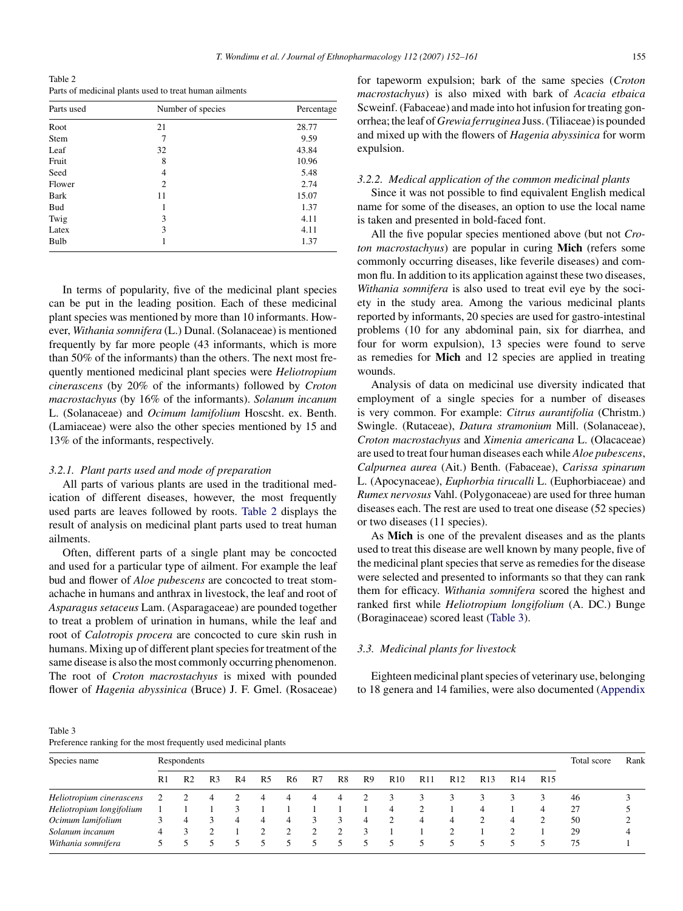Table 2 Parts of medicinal plants used to treat human ailments

| Parts used  | Number of species | Percentage |  |  |
|-------------|-------------------|------------|--|--|
| Root        | 21                | 28.77      |  |  |
| <b>Stem</b> | 7                 | 9.59       |  |  |
| Leaf        | 32                | 43.84      |  |  |
| Fruit       | 8                 | 10.96      |  |  |
| Seed        | 4                 | 5.48       |  |  |
| Flower      | $\overline{c}$    | 2.74       |  |  |
| Bark        | 11                | 15.07      |  |  |
| <b>Bud</b>  |                   | 1.37       |  |  |
| Twig        | 3                 | 4.11       |  |  |
| Latex       | 3                 | 4.11       |  |  |
| Bulb        |                   | 1.37       |  |  |

In terms of popularity, five of the medicinal plant species can be put in the leading position. Each of these medicinal plant species was mentioned by more than 10 informants. However, *Withania somnifera* (L.) Dunal. (Solanaceae) is mentioned frequently by far more people (43 informants, which is more than 50% of the informants) than the others. The next most frequently mentioned medicinal plant species were *Heliotropium cinerascens* (by 20% of the informants) followed by *Croton macrostachyus* (by 16% of the informants). *Solanum incanum* L. (Solanaceae) and *Ocimum lamifolium* Hoscsht. ex. Benth. (Lamiaceae) were also the other species mentioned by 15 and 13% of the informants, respectively.

## *3.2.1. Plant parts used and mode of preparation*

All parts of various plants are used in the traditional medication of different diseases, however, the most frequently used parts are leaves followed by roots. Table 2 displays the result of analysis on medicinal plant parts used to treat human ailments.

Often, different parts of a single plant may be concocted and used for a particular type of ailment. For example the leaf bud and flower of *Aloe pubescens* are concocted to treat stomachache in humans and anthrax in livestock, the leaf and root of *Asparagus setaceus* Lam. (Asparagaceae) are pounded together to treat a problem of urination in humans, while the leaf and root of *Calotropis procera* are concocted to cure skin rush in humans. Mixing up of different plant species for treatment of the same disease is also the most commonly occurring phenomenon. The root of *Croton macrostachyus* is mixed with pounded flower of *Hagenia abyssinica* (Bruce) J. F. Gmel. (Rosaceae)

for tapeworm expulsion; bark of the same species (*Croton macrostachyus*) is also mixed with bark of *Acacia etbaica* Scweinf. (Fabaceae) and made into hot infusion for treating gonorrhea; the leaf of *Grewia ferruginea* Juss. (Tiliaceae) is pounded and mixed up with the flowers of *Hagenia abyssinica* for worm expulsion.

## *3.2.2. Medical application of the common medicinal plants*

Since it was not possible to find equivalent English medical name for some of the diseases, an option to use the local name is taken and presented in bold-faced font.

All the five popular species mentioned above (but not *Croton macrostachyus*) are popular in curing **Mich** (refers some commonly occurring diseases, like feverile diseases) and common flu. In addition to its application against these two diseases, *Withania somnifera* is also used to treat evil eye by the society in the study area. Among the various medicinal plants reported by informants, 20 species are used for gastro-intestinal problems (10 for any abdominal pain, six for diarrhea, and four for worm expulsion), 13 species were found to serve as remedies for **Mich** and 12 species are applied in treating wounds.

Analysis of data on medicinal use diversity indicated that employment of a single species for a number of diseases is very common. For example: *Citrus aurantifolia* (Christm.) Swingle. (Rutaceae), *Datura stramonium* Mill. (Solanaceae), *Croton macrostachyus* and *Ximenia americana* L. (Olacaceae) are used to treat four human diseases each while *Aloe pubescens*, *Calpurnea aurea* (Ait.) Benth. (Fabaceae), *Carissa spinarum* L. (Apocynaceae), *Euphorbia tirucalli* L. (Euphorbiaceae) and *Rumex nervosus* Vahl. (Polygonaceae) are used for three human diseases each. The rest are used to treat one disease (52 species) or two diseases (11 species).

As **Mich** is one of the prevalent diseases and as the plants used to treat this disease are well known by many people, five of the medicinal plant species that serve as remedies for the disease were selected and presented to informants so that they can rank them for efficacy. *Withania somnifera* scored the highest and ranked first while *Heliotropium longifolium* (A. DC.) Bunge (Boraginaceae) scored least (Table 3).

## *3.3. Medicinal plants for livestock*

Eighteen medicinal plant species of veterinary use, belonging to 18 genera and 14 families, were also documented [\(Appendix](#page-6-0)

Table 3

| Species name             |              | Respondents |                |    |    |    |    |    |    |                 |                 |                 |                 |     | Total score     | Rank |  |
|--------------------------|--------------|-------------|----------------|----|----|----|----|----|----|-----------------|-----------------|-----------------|-----------------|-----|-----------------|------|--|
|                          | R1           | R2          | R <sub>3</sub> | R4 | R5 | R6 | R7 | R8 | R9 | R <sub>10</sub> | R <sub>11</sub> | R <sub>12</sub> | R <sub>13</sub> | R14 | R <sub>15</sub> |      |  |
| Heliotropium cinerascens | $\mathbf{2}$ |             |                |    |    |    |    |    |    |                 |                 |                 |                 |     |                 | 46   |  |
| Heliotropium longifolium |              |             |                |    |    |    |    |    |    | 4               |                 |                 |                 |     | 4               | 27   |  |
| Ocimum lamifolium        |              |             |                |    | 4  | 4  |    |    | 4  |                 | 4               | 4               |                 | 4   | $\bigcap$       | 50   |  |
| Solanum incanum          |              |             |                |    |    |    |    |    |    |                 |                 |                 |                 |     |                 | 29   |  |
| Withania somnifera       |              |             |                |    |    |    |    |    |    |                 |                 |                 |                 |     |                 | 75   |  |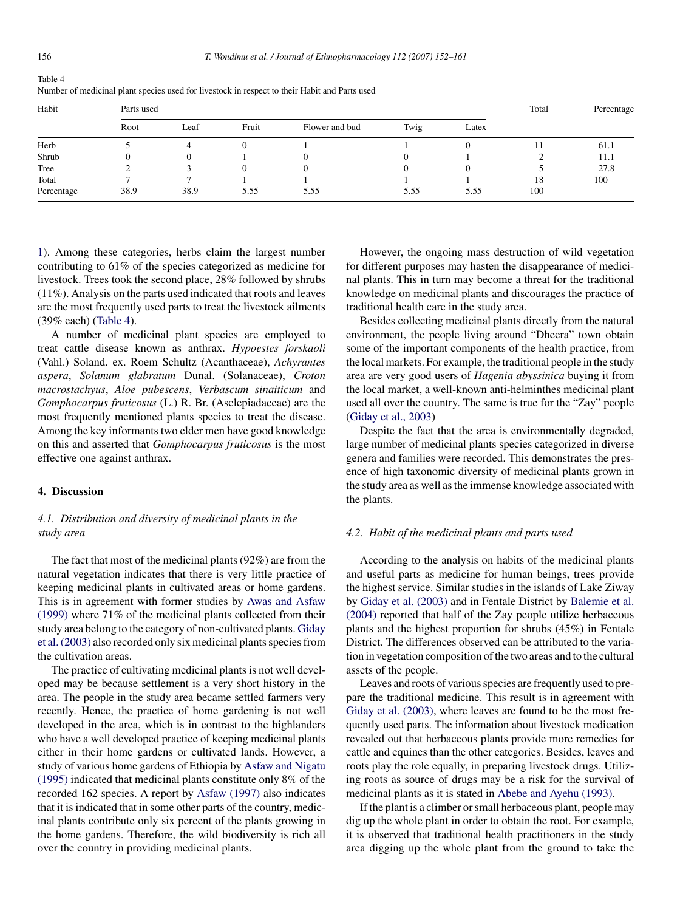Table 4

| Habit      | Parts used |      |       | Total          | Percentage |       |     |      |
|------------|------------|------|-------|----------------|------------|-------|-----|------|
|            | Root       | Leaf | Fruit | Flower and bud | Twig       | Latex |     |      |
| Herb       |            | 4    |       |                |            |       | 11  | 61.1 |
| Shrub      |            |      |       |                |            |       |     | 11.1 |
| Tree       |            |      |       |                |            |       |     | 27.8 |
| Total      |            |      |       |                |            |       | 18  | 100  |
| Percentage | 38.9       | 38.9 | 5.55  | 5.55           | 5.55       | 5.55  | 100 |      |

Number of medicinal plant species used for livestock in respect to their Habit and Parts used

[1\).](#page-6-0) Among these categories, herbs claim the largest number contributing to 61% of the species categorized as medicine for livestock. Trees took the second place, 28% followed by shrubs (11%). Analysis on the parts used indicated that roots and leaves are the most frequently used parts to treat the livestock ailments (39% each) (Table 4).

A number of medicinal plant species are employed to treat cattle disease known as anthrax. *Hypoestes forskaoli* (Vahl.) Soland. ex. Roem Schultz (Acanthaceae), *Achyrantes aspera*, *Solanum glabratum* Dunal. (Solanaceae), *Croton macrostachyus*, *Aloe pubescens*, *Verbascum sinaiticum* and *Gomphocarpus fruticosus* (L.) R. Br. (Asclepiadaceae) are the most frequently mentioned plants species to treat the disease. Among the key informants two elder men have good knowledge on this and asserted that *Gomphocarpus fruticosus* is the most effective one against anthrax.

# **4. Discussion**

# *4.1. Distribution and diversity of medicinal plants in the study area*

The fact that most of the medicinal plants (92%) are from the natural vegetation indicates that there is very little practice of keeping medicinal plants in cultivated areas or home gardens. This is in agreement with former studies by [Awas and Asfaw](#page-8-0) [\(1999\)](#page-8-0) where 71% of the medicinal plants collected from their study area belong to the category of non-cultivated plants. [Giday](#page-9-0) [et al. \(2003\)](#page-9-0) also recorded only six medicinal plants species from the cultivation areas.

The practice of cultivating medicinal plants is not well developed may be because settlement is a very short history in the area. The people in the study area became settled farmers very recently. Hence, the practice of home gardening is not well developed in the area, which is in contrast to the highlanders who have a well developed practice of keeping medicinal plants either in their home gardens or cultivated lands. However, a study of various home gardens of Ethiopia by [Asfaw and Nigatu](#page-8-0) [\(1995\)](#page-8-0) indicated that medicinal plants constitute only 8% of the recorded 162 species. A report by [Asfaw \(1997\)](#page-8-0) also indicates that it is indicated that in some other parts of the country, medicinal plants contribute only six percent of the plants growing in the home gardens. Therefore, the wild biodiversity is rich all over the country in providing medicinal plants.

However, the ongoing mass destruction of wild vegetation for different purposes may hasten the disappearance of medicinal plants. This in turn may become a threat for the traditional knowledge on medicinal plants and discourages the practice of traditional health care in the study area.

Besides collecting medicinal plants directly from the natural environment, the people living around "Dheera" town obtain some of the important components of the health practice, from the local markets. For example, the traditional people in the study area are very good users of *Hagenia abyssinica* buying it from the local market, a well-known anti-helminthes medicinal plant used all over the country. The same is true for the "Zay" people [\(Giday et al., 2003\)](#page-9-0)

Despite the fact that the area is environmentally degraded, large number of medicinal plants species categorized in diverse genera and families were recorded. This demonstrates the presence of high taxonomic diversity of medicinal plants grown in the study area as well as the immense knowledge associated with the plants.

# *4.2. Habit of the medicinal plants and parts used*

According to the analysis on habits of the medicinal plants and useful parts as medicine for human beings, trees provide the highest service. Similar studies in the islands of Lake Ziway by [Giday et al. \(2003\)](#page-9-0) and in Fentale District by [Balemie et al.](#page-8-0) [\(2004\)](#page-8-0) reported that half of the Zay people utilize herbaceous plants and the highest proportion for shrubs (45%) in Fentale District. The differences observed can be attributed to the variation in vegetation composition of the two areas and to the cultural assets of the people.

Leaves and roots of various species are frequently used to prepare the traditional medicine. This result is in agreement with [Giday et al. \(2003\),](#page-9-0) where leaves are found to be the most frequently used parts. The information about livestock medication revealed out that herbaceous plants provide more remedies for cattle and equines than the other categories. Besides, leaves and roots play the role equally, in preparing livestock drugs. Utilizing roots as source of drugs may be a risk for the survival of medicinal plants as it is stated in [Abebe and Ayehu \(1993\).](#page-8-0)

If the plant is a climber or small herbaceous plant, people may dig up the whole plant in order to obtain the root. For example, it is observed that traditional health practitioners in the study area digging up the whole plant from the ground to take the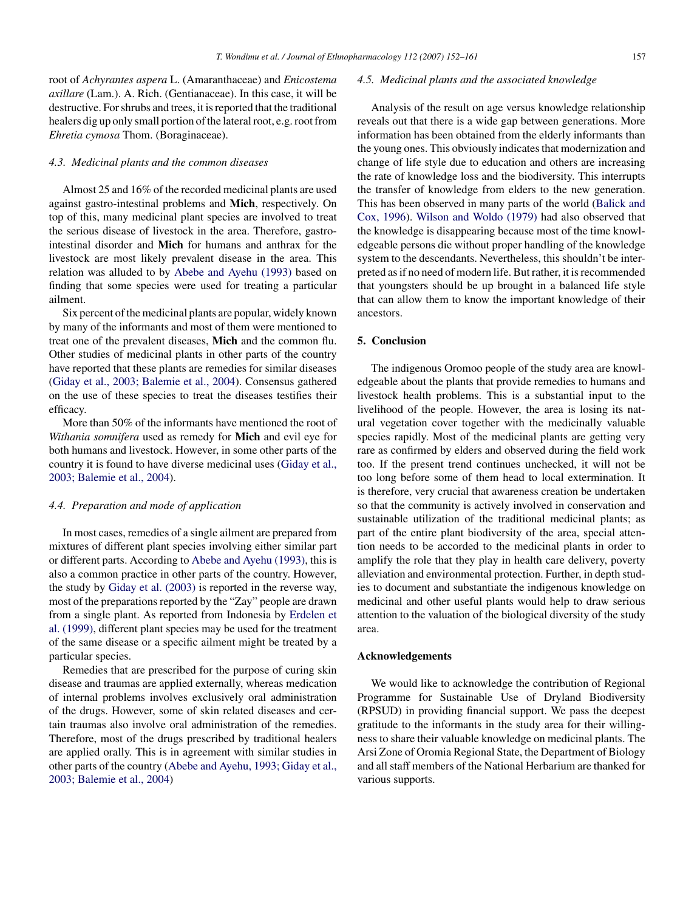root of *Achyrantes aspera* L. (Amaranthaceae) and *Enicostema axillare* (Lam.). A. Rich. (Gentianaceae). In this case, it will be destructive. For shrubs and trees, it is reported that the traditional healers dig up only small portion of the lateral root, e.g. root from *Ehretia cymosa* Thom. (Boraginaceae).

## *4.3. Medicinal plants and the common diseases*

Almost 25 and 16% of the recorded medicinal plants are used against gastro-intestinal problems and **Mich**, respectively. On top of this, many medicinal plant species are involved to treat the serious disease of livestock in the area. Therefore, gastrointestinal disorder and **Mich** for humans and anthrax for the livestock are most likely prevalent disease in the area. This relation was alluded to by [Abebe and Ayehu \(1993\)](#page-8-0) based on finding that some species were used for treating a particular ailment.

Six percent of the medicinal plants are popular, widely known by many of the informants and most of them were mentioned to treat one of the prevalent diseases, **Mich** and the common flu. Other studies of medicinal plants in other parts of the country have reported that these plants are remedies for similar diseases ([Giday et al., 2003; Balemie et al., 2004\).](#page-9-0) Consensus gathered on the use of these species to treat the diseases testifies their efficacy.

More than 50% of the informants have mentioned the root of *Withania somnifera* used as remedy for **Mich** and evil eye for both humans and livestock. However, in some other parts of the country it is found to have diverse medicinal uses [\(Giday et al.,](#page-9-0) [2003; Balemie et al., 2004\).](#page-9-0)

## *4.4. Preparation and mode of application*

In most cases, remedies of a single ailment are prepared from mixtures of different plant species involving either similar part or different parts. According to [Abebe and Ayehu \(1993\), t](#page-8-0)his is also a common practice in other parts of the country. However, the study by [Giday et al. \(2003\)](#page-9-0) is reported in the reverse way, most of the preparations reported by the "Zay" people are drawn from a single plant. As reported from Indonesia by [Erdelen et](#page-9-0) [al. \(1999\),](#page-9-0) different plant species may be used for the treatment of the same disease or a specific ailment might be treated by a particular species.

Remedies that are prescribed for the purpose of curing skin disease and traumas are applied externally, whereas medication of internal problems involves exclusively oral administration of the drugs. However, some of skin related diseases and certain traumas also involve oral administration of the remedies. Therefore, most of the drugs prescribed by traditional healers are applied orally. This is in agreement with similar studies in other parts of the country ([Abebe and Ayehu, 1993; Giday et al.,](#page-8-0) [2003; Balemie et al., 2004\)](#page-8-0)

### *4.5. Medicinal plants and the associated knowledge*

Analysis of the result on age versus knowledge relationship reveals out that there is a wide gap between generations. More information has been obtained from the elderly informants than the young ones. This obviously indicates that modernization and change of life style due to education and others are increasing the rate of knowledge loss and the biodiversity. This interrupts the transfer of knowledge from elders to the new generation. This has been observed in many parts of the world ([Balick and](#page-8-0) [Cox, 1996\).](#page-8-0) [Wilson and Woldo \(1979\)](#page-9-0) had also observed that the knowledge is disappearing because most of the time knowledgeable persons die without proper handling of the knowledge system to the descendants. Nevertheless, this shouldn't be interpreted as if no need of modern life. But rather, it is recommended that youngsters should be up brought in a balanced life style that can allow them to know the important knowledge of their ancestors.

# **5. Conclusion**

The indigenous Oromoo people of the study area are knowledgeable about the plants that provide remedies to humans and livestock health problems. This is a substantial input to the livelihood of the people. However, the area is losing its natural vegetation cover together with the medicinally valuable species rapidly. Most of the medicinal plants are getting very rare as confirmed by elders and observed during the field work too. If the present trend continues unchecked, it will not be too long before some of them head to local extermination. It is therefore, very crucial that awareness creation be undertaken so that the community is actively involved in conservation and sustainable utilization of the traditional medicinal plants; as part of the entire plant biodiversity of the area, special attention needs to be accorded to the medicinal plants in order to amplify the role that they play in health care delivery, poverty alleviation and environmental protection. Further, in depth studies to document and substantiate the indigenous knowledge on medicinal and other useful plants would help to draw serious attention to the valuation of the biological diversity of the study area.

## **Acknowledgements**

We would like to acknowledge the contribution of Regional Programme for Sustainable Use of Dryland Biodiversity (RPSUD) in providing financial support. We pass the deepest gratitude to the informants in the study area for their willingness to share their valuable knowledge on medicinal plants. The Arsi Zone of Oromia Regional State, the Department of Biology and all staff members of the National Herbarium are thanked for various supports.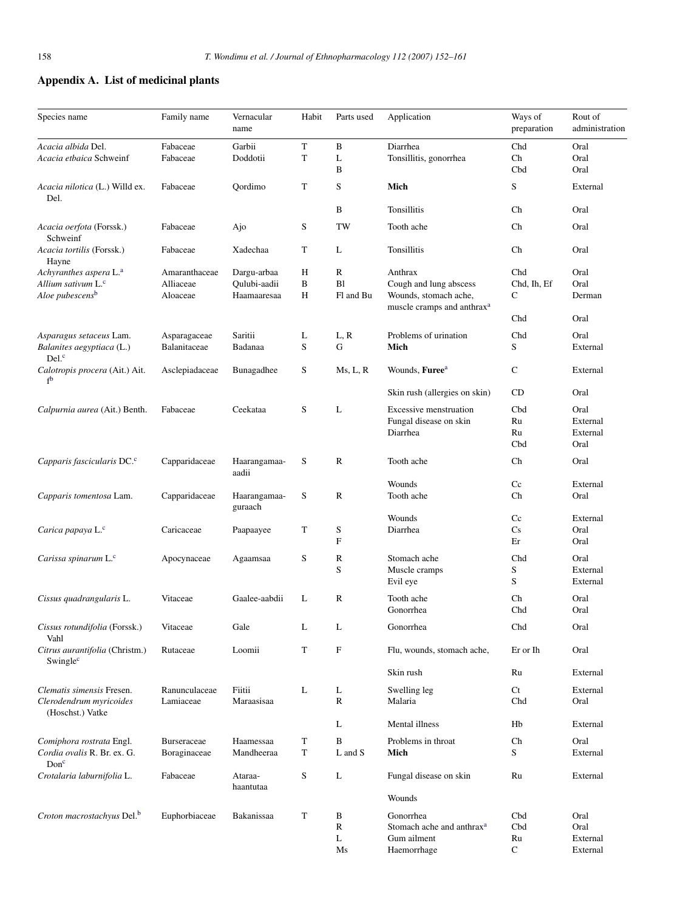# <span id="page-6-0"></span>**Appendix A. List of medicinal plants**

| Species name                                           | Family name        | Vernacular<br>name    | Habit       | Parts used                | Application                            | Ways of<br>preparation | Rout of<br>administration |
|--------------------------------------------------------|--------------------|-----------------------|-------------|---------------------------|----------------------------------------|------------------------|---------------------------|
| Acacia albida Del.                                     | Fabaceae           | Garbii                | T           | B                         | Diarrhea                               | Chd                    | Oral                      |
| Acacia etbaica Schweinf                                | Fabaceae           | Doddotii              | $\mathbf T$ | L                         | Tonsillitis, gonorrhea                 | Ch                     | Oral                      |
|                                                        |                    |                       |             | B                         |                                        | Cbd                    | Oral                      |
| Acacia nilotica (L.) Willd ex.                         | Fabaceae           | Qordimo               | T           | S                         | Mich                                   | S                      | External                  |
| Del.                                                   |                    |                       |             |                           |                                        |                        |                           |
|                                                        |                    |                       |             | B                         | Tonsillitis                            | Ch                     | Oral                      |
|                                                        |                    |                       |             |                           |                                        |                        |                           |
| Acacia oerfota (Forssk.)<br>Schweinf                   | Fabaceae           | Ajo                   | S           | TW                        | Tooth ache                             | Ch                     | Oral                      |
| Acacia tortilis (Forssk.)<br>Hayne                     | Fabaceae           | Xadechaa              | T           | L                         | Tonsillitis                            | Ch                     | Oral                      |
| Achyranthes aspera L. <sup>a</sup>                     | Amaranthaceae      | Dargu-arbaa           | Η           | R                         | Anthrax                                | Chd                    | Oral                      |
| Allium sativum L. <sup>c</sup>                         | Alliaceae          | Qulubi-aadii          | B           | B1                        | Cough and lung abscess                 | Chd, Ih, Ef            | Oral                      |
| Aloe pubescens <sup>b</sup>                            | Aloaceae           | Haamaaresaa           | H           | Fl and Bu                 | Wounds, stomach ache,                  | C                      | Derman                    |
|                                                        |                    |                       |             |                           | muscle cramps and anthrax <sup>a</sup> |                        |                           |
|                                                        |                    |                       |             |                           |                                        | Chd                    | Oral                      |
| Asparagus setaceus Lam.                                | Asparagaceae       | Saritii               | L           | L, R                      | Problems of urination                  | Chd                    | Oral                      |
| Balanites aegyptiaca (L.)                              | Balanitaceae       | Badanaa               | S           | G                         | Mich                                   | S                      | External                  |
| Del. <sup>c</sup>                                      |                    |                       |             |                           |                                        |                        |                           |
| Calotropis procera (Ait.) Ait.<br>$f^b$                | Asclepiadaceae     | Bunagadhee            | S           | Ms, L, R                  | Wounds, Furee <sup>a</sup>             | $\mathsf C$            | External                  |
|                                                        |                    |                       |             |                           | Skin rush (allergies on skin)          | <b>CD</b>              | Oral                      |
| Calpurnia aurea (Ait.) Benth.                          | Fabaceae           | Ceekataa              | S           | L                         | <b>Excessive menstruation</b>          | Cbd                    | Oral                      |
|                                                        |                    |                       |             |                           | Fungal disease on skin                 | Ru                     | External                  |
|                                                        |                    |                       |             |                           | Diarrhea                               | Ru                     | External                  |
|                                                        |                    |                       |             |                           |                                        | Cbd                    | Oral                      |
|                                                        |                    |                       |             |                           |                                        |                        |                           |
| Capparis fascicularis DC. <sup>c</sup>                 | Capparidaceae      | Haarangamaa-<br>aadii | S           | $\mathbb{R}$              | Tooth ache                             | Ch                     | Oral                      |
|                                                        |                    |                       |             |                           | Wounds                                 | Cc                     | External                  |
| Capparis tomentosa Lam.                                | Capparidaceae      | Haarangamaa-          | S           | $\mathbb{R}$              | Tooth ache                             | Ch                     | Oral                      |
|                                                        |                    | guraach               |             |                           |                                        |                        |                           |
|                                                        |                    |                       |             |                           | Wounds                                 | Cc                     | External                  |
| Carica papaya L. <sup>c</sup>                          | Caricaceae         | Paapaayee             | T           | S                         | Diarrhea                               | Cs                     | Oral                      |
|                                                        |                    |                       |             | F                         |                                        | Er                     | Oral                      |
| Carissa spinarum L. <sup>c</sup>                       | Apocynaceae        | Agaamsaa              | S           | R                         | Stomach ache                           | Chd                    | Oral                      |
|                                                        |                    |                       |             | S                         | Muscle cramps                          | S                      | External                  |
|                                                        |                    |                       |             |                           | Evil eye                               | S                      | External                  |
|                                                        |                    |                       |             |                           |                                        |                        |                           |
| Cissus quadrangularis L.                               | Vitaceae           | Gaalee-aabdii         | L           | $\mathbb{R}$              | Tooth ache                             | Ch                     | Oral                      |
|                                                        |                    |                       |             |                           | Gonorrhea                              | Chd                    | Oral                      |
| Cissus rotundifolia (Forssk.)                          | Vitaceae           | Gale                  | $\mathbf L$ | L                         | Gonorrhea                              | Chd                    | Oral                      |
| Vahl                                                   | Rutaceae           | Loomii                | T           | $\boldsymbol{\mathrm{F}}$ |                                        | Er or Ih               | Oral                      |
| Citrus aurantifolia (Christm.)<br>Swingle <sup>c</sup> |                    |                       |             |                           | Flu, wounds, stomach ache,             |                        |                           |
|                                                        |                    |                       |             |                           | Skin rush                              | Ru                     | External                  |
| Clematis simensis Fresen.                              |                    |                       |             |                           |                                        |                        |                           |
|                                                        | Ranunculaceae      | Fiitii                | L           | L<br>$\mathbf R$          | Swelling leg                           | Ct<br>Chd              | External                  |
| Clerodendrum myricoides<br>(Hoschst.) Vatke            | Lamiaceae          | Maraasisaa            |             |                           | Malaria                                |                        | Oral                      |
|                                                        |                    |                       |             | L                         | Mental illness                         | Hb                     | External                  |
|                                                        |                    |                       |             |                           |                                        |                        |                           |
| Comiphora rostrata Engl.                               | <b>Burseraceae</b> | Haamessaa             | T           | B                         | Problems in throat                     | Ch                     | Oral                      |
| Cordia ovalis R. Br. ex. G.                            | Boraginaceae       | Mandheeraa            | T           | $L$ and $S$               | Mich                                   | S                      | External                  |
| Don <sup>c</sup>                                       |                    |                       |             |                           |                                        |                        |                           |
| Crotalaria laburnifolia L.                             | Fabaceae           | Ataraa-               | S           | L                         | Fungal disease on skin                 | Ru                     | External                  |
|                                                        |                    | haantutaa             |             |                           |                                        |                        |                           |
|                                                        |                    |                       |             |                           | Wounds                                 |                        |                           |
| Croton macrostachyus Del. <sup>b</sup>                 | Euphorbiaceae      | Bakanissaa            | T           | B                         | Gonorrhea                              | Cbd                    | Oral                      |
|                                                        |                    |                       |             | $\mathbb{R}$              | Stomach ache and anthrax <sup>a</sup>  | Cbd                    | Oral                      |
|                                                        |                    |                       |             | L                         | Gum ailment                            | Ru                     | External                  |
|                                                        |                    |                       |             | Ms                        | Haemorrhage                            | $\mathsf C$            | External                  |
|                                                        |                    |                       |             |                           |                                        |                        |                           |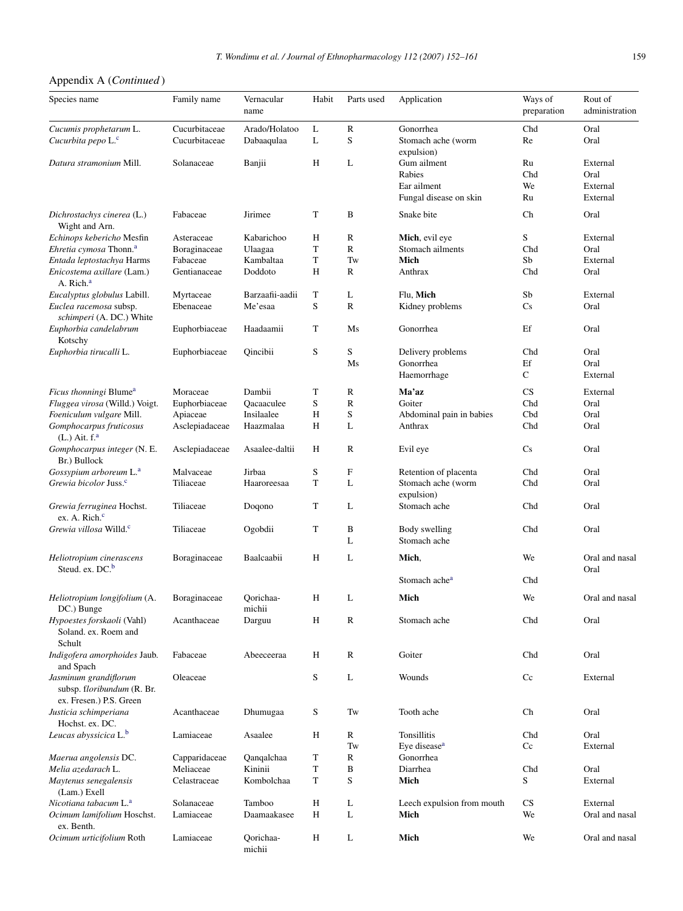# Appendix A (*Continued* )

| Species name                                                                   | Family name                    | Vernacular<br>name          | Habit       | Parts used        | Application                                                    | Ways of<br>preparation | Rout of<br>administration                |
|--------------------------------------------------------------------------------|--------------------------------|-----------------------------|-------------|-------------------|----------------------------------------------------------------|------------------------|------------------------------------------|
| Cucumis prophetarum L.<br>Cucurbita pepo L. <sup>c</sup>                       | Cucurbitaceae<br>Cucurbitaceae | Arado/Holatoo<br>Dabaaqulaa | L<br>L      | $\mathbb{R}$<br>S | Gonorrhea<br>Stomach ache (worm<br>expulsion)                  | Chd<br>Re              | Oral<br>Oral                             |
| Datura stramonium Mill.                                                        | Solanaceae                     | Banjii                      | Η           | L                 | Gum ailment<br>Rabies<br>Ear ailment<br>Fungal disease on skin | Ru<br>Chd<br>We<br>Ru  | External<br>Oral<br>External<br>External |
| Dichrostachys cinerea (L.)<br>Wight and Arn.                                   | Fabaceae                       | Jirimee                     | T           | B                 | Snake bite                                                     | Ch                     | Oral                                     |
| Echinops kebericho Mesfin                                                      | Asteraceae                     | Kabarichoo                  | Н           | R                 | Mich, evil eye                                                 | S                      | External                                 |
| Ehretia cymosa Thonn. <sup>a</sup>                                             | Boraginaceae                   | Ulaagaa                     | T           | R                 | Stomach ailments                                               | Chd                    | Oral                                     |
| Entada leptostachya Harms                                                      | Fabaceae                       | Kambaltaa                   | T           | Tw                | Mich                                                           | Sb                     | External                                 |
| Enicostema axillare (Lam.)<br>A. Rich. <sup>a</sup>                            | Gentianaceae                   | Doddoto                     | Η           | R                 | Anthrax                                                        | Chd                    | Oral                                     |
| Eucalyptus globulus Labill.                                                    | Myrtaceae                      | Barzaafii-aadii             | T           | L                 | Flu, Mich                                                      | Sb                     | External                                 |
| Euclea racemosa subsp.<br>schimperi (A. DC.) White                             | Ebenaceae                      | Me'esaa                     | ${\bf S}$   | $\mathbb{R}$      | Kidney problems                                                | Cs                     | Oral                                     |
| Euphorbia candelabrum<br>Kotschy                                               | Euphorbiaceae                  | Haadaamii                   | T           | Ms                | Gonorrhea                                                      | Ef                     | Oral                                     |
| Euphorbia tirucalli L.                                                         | Euphorbiaceae                  | Qincibii                    | S           | S                 | Delivery problems                                              | Chd                    | Oral                                     |
|                                                                                |                                |                             |             | Ms                | Gonorrhea<br>Haemorrhage                                       | Ef<br>$\mathbf C$      | Oral<br>External                         |
| Ficus thonningi Blume <sup>a</sup>                                             | Moraceae                       | Dambii                      | T           | $\mathbb{R}$      | Ma'az                                                          | CS                     | External                                 |
| Fluggea virosa (Willd.) Voigt.                                                 | Euphorbiaceae                  | Qacaaculee                  | ${\bf S}$   | R                 | Goiter                                                         | Chd                    | Oral                                     |
| Foeniculum vulgare Mill.                                                       | Apiaceae                       | Insilaalee                  | H           | S                 | Abdominal pain in babies                                       | Cbd                    | Oral                                     |
| Gomphocarpus fruticosus<br>$(L.)$ Ait. $f^a$                                   | Asclepiadaceae                 | Haazmalaa                   | H           | L                 | Anthrax                                                        | Chd                    | Oral                                     |
| Gomphocarpus integer (N. E.<br>Br.) Bullock                                    | Asclepiadaceae                 | Asaalee-daltii              | Η           | R                 | Evil eye                                                       | $\mathbf{C}\mathbf{s}$ | Oral                                     |
| Gossypium arboreum L. <sup>a</sup>                                             | Malvaceae                      | Jirbaa                      | S           | F                 | Retention of placenta                                          | Chd                    | Oral                                     |
| Grewia bicolor Juss. <sup>c</sup>                                              | Tiliaceae                      | Haaroreesaa                 | T           | L                 | Stomach ache (worm<br>expulsion)                               | Chd                    | Oral                                     |
| Grewia ferruginea Hochst.<br>ex. A. Rich. <sup>c</sup>                         | Tiliaceae                      | Dogono                      | T           | L                 | Stomach ache                                                   | Chd                    | Oral                                     |
| Grewia villosa Willd. <sup>c</sup>                                             | Tiliaceae                      | Ogobdii                     | $\mathbf T$ | B<br>L            | Body swelling<br>Stomach ache                                  | Chd                    | Oral                                     |
| Heliotropium cinerascens<br>Steud. ex. DC. <sup>b</sup>                        | Boraginaceae                   | Baalcaabii                  | Η           | L                 | Mich,                                                          | We                     | Oral and nasal<br>Oral                   |
|                                                                                |                                |                             |             |                   | Stomach ache <sup>a</sup>                                      | Chd                    |                                          |
| Heliotropium longifolium (A.<br>DC.) Bunge                                     | Boraginaceae                   | Oorichaa-<br>michii         | Η           | L                 | Mich                                                           | We                     | Oral and nasal                           |
| Hypoestes forskaoli (Vahl)<br>Soland. ex. Roem and<br>Schult                   | Acanthaceae                    | Darguu                      | Η           | R                 | Stomach ache                                                   | Chd                    | Oral                                     |
| Indigofera amorphoides Jaub.<br>and Spach                                      | Fabaceae                       | Abeeceeraa                  | Η           | $\mathbb{R}$      | Goiter                                                         | Chd                    | Oral                                     |
| Jasminum grandiflorum<br>subsp. floribundum (R. Br.<br>ex. Fresen.) P.S. Green | Oleaceae                       |                             | S           | L                 | Wounds                                                         | Cc                     | External                                 |
| Justicia schimperiana<br>Hochst. ex. DC.                                       | Acanthaceae                    | Dhumugaa                    | S           | Tw                | Tooth ache                                                     | Ch                     | Oral                                     |
| Leucas abyssicica L. <sup>b</sup>                                              | Lamiaceae                      | Asaalee                     | Н           | R<br>Tw           | Tonsillitis<br>Eye disease <sup>a</sup>                        | Chd<br>$_{\rm C}$      | Oral<br>External                         |
| Maerua angolensis DC.                                                          | Capparidaceae                  | Qanqalchaa                  | T           | R                 | Gonorrhea                                                      |                        |                                          |
| Melia azedarach L.                                                             | Meliaceae                      | Kininii                     | T           | B                 | Diarrhea                                                       | Chd                    | Oral                                     |
| Maytenus senegalensis<br>(Lam.) Exell                                          | Celastraceae                   | Kombolchaa                  | $\mathbf T$ | S                 | Mich                                                           | S                      | External                                 |
| Nicotiana tabacum L. <sup>a</sup>                                              | Solanaceae                     | Tamboo                      | Η           | L                 | Leech expulsion from mouth                                     | CS                     | External                                 |
| Ocimum lamifolium Hoschst.<br>ex. Benth.                                       | Lamiaceae                      | Daamaakasee                 | Η           | L                 | Mich                                                           | We                     | Oral and nasal                           |
| Ocimum urticifolium Roth                                                       | Lamiaceae                      | Qorichaa-<br>michii         | Н           | L                 | Mich                                                           | We                     | Oral and nasal                           |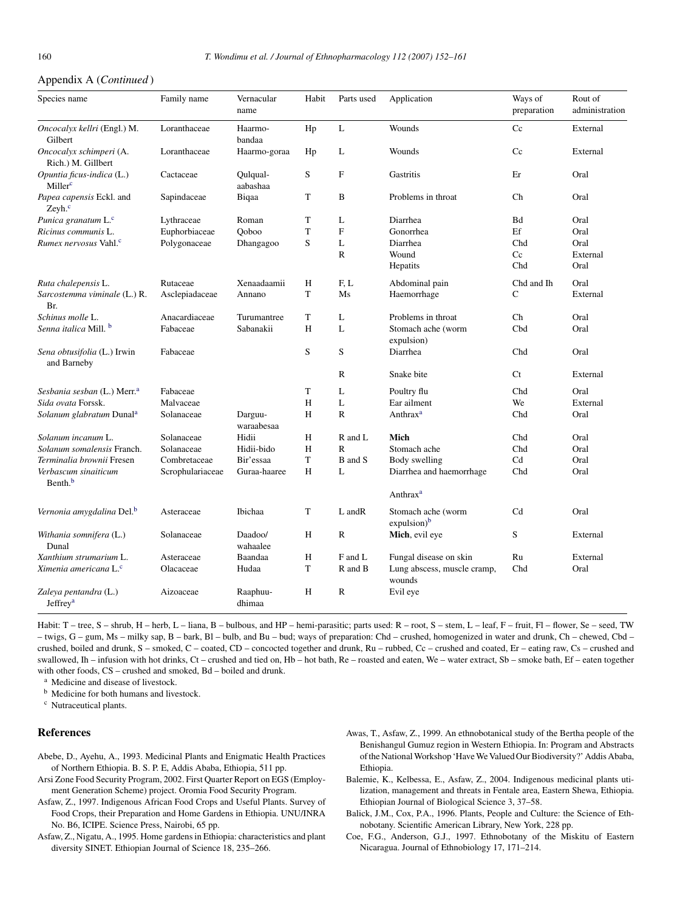## <span id="page-8-0"></span>Appendix A (*Continued* )

| Species name                                     | Family name      | Vernacular<br>name    | Habit | Parts used     | Application                           | Ways of<br>preparation | Rout of<br>administration |
|--------------------------------------------------|------------------|-----------------------|-------|----------------|---------------------------------------|------------------------|---------------------------|
| Oncocalyx kellri (Engl.) M.<br>Gilbert           | Loranthaceae     | Haarmo-<br>bandaa     | Hp    | L              | Wounds                                | Cc                     | External                  |
| Oncocalyx schimperi (A.<br>Rich.) M. Gillbert    | Loranthaceae     | Haarmo-goraa          | Hp    | L              | Wounds                                | Cc                     | External                  |
| Opuntia ficus-indica (L.)<br>Miller <sup>c</sup> | Cactaceae        | Qulqual-<br>aabashaa  | S     | $\mathbf F$    | Gastritis                             | Er                     | Oral                      |
| Papea capensis Eckl. and<br>Zeyh. <sup>c</sup>   | Sapindaceae      | Biqaa                 | T     | B              | Problems in throat                    | Ch                     | Oral                      |
| Punica granatum L. <sup>c</sup>                  | Lythraceae       | Roman                 | T     | L              | Diarrhea                              | Bd                     | Oral                      |
| Ricinus communis L.                              | Euphorbiaceae    | Ooboo                 | T     | F              | Gonorrhea                             | Ef                     | Oral                      |
| Rumex nervosus Vahl. <sup>c</sup>                | Polygonaceae     | Dhangagoo             | S     | L              | Diarrhea                              | Chd                    | Oral                      |
|                                                  |                  |                       |       | $\overline{R}$ | Wound                                 | Cc                     | External                  |
|                                                  |                  |                       |       |                | Hepatits                              | Chd                    | Oral                      |
| Ruta chalepensis L.                              | Rutaceae         | Xenaadaamii           | H     | F, L           | Abdominal pain                        | Chd and Ih             | Oral                      |
| Sarcostemma viminale (L.) R.<br>Br.              | Asclepiadaceae   | Annano                | T     | Ms             | Haemorrhage                           | $\mathsf{C}$           | External                  |
| Schinus molle L.                                 | Anacardiaceae    | Turumantree           | T     | L              | Problems in throat                    | Ch                     | Oral                      |
| Senna italica Mill. <sup>b</sup>                 | Fabaceae         | Sabanakii             | H     | L              | Stomach ache (worm<br>expulsion)      | Cbd                    | Oral                      |
| Sena obtusifolia (L.) Irwin<br>and Barneby       | Fabaceae         |                       | S     | S              | Diarrhea                              | Chd                    | Oral                      |
|                                                  |                  |                       |       | $\mathbb{R}$   | Snake bite                            | Ct                     | External                  |
| Sesbania sesban (L.) Merr. <sup>a</sup>          | Fabaceae         |                       | T     | L              | Poultry flu                           | Chd                    | Oral                      |
| Sida ovata Forssk.                               | Malvaceae        |                       | H     | L              | Ear ailment                           | We                     | External                  |
| Solanum glabratum Dunal <sup>a</sup>             | Solanaceae       | Darguu-<br>waraabesaa | H     | $\mathbb{R}$   | Anthrax <sup>a</sup>                  | Chd                    | Oral                      |
| Solanum incanum L.                               | Solanaceae       | Hidii                 | H     | R and L        | Mich                                  | Chd                    | Oral                      |
| Solanum somalensis Franch.                       | Solanaceae       | Hidii-bido            | H     | $\mathbb{R}$   | Stomach ache                          | Chd                    | Oral                      |
| Terminalia brownii Fresen                        | Combretaceae     | Bir'essaa             | T     | B and S        | Body swelling                         | Cd                     | Oral                      |
| Verbascum sinaiticum<br>Benth. <sup>b</sup>      | Scrophulariaceae | Guraa-haaree          | H     | $\mathbf{L}$   | Diarrhea and haemorrhage              | Chd                    | Oral                      |
|                                                  |                  |                       |       |                | Anthrax <sup>a</sup>                  |                        |                           |
| Vernonia amygdalina Del. <sup>b</sup>            | Asteraceae       | Ibichaa               | T     | $L$ and $R$    | Stomach ache (worm<br>$expulsion)^b$  | C <sub>d</sub>         | Oral                      |
| Withania somnifera (L.)<br>Dunal                 | Solanaceae       | Daadoo/<br>wahaalee   | H     | $\mathbb{R}$   | Mich, evil eye                        | S                      | External                  |
| Xanthium strumarium L.                           | Asteraceae       | Baandaa               | H     | F and L        | Fungal disease on skin                | Ru                     | External                  |
| Ximenia americana L. <sup>c</sup>                | Olacaceae        | Hudaa                 | T     | R and B        | Lung abscess, muscle cramp,<br>wounds | Chd                    | Oral                      |
| Zaleya pentandra (L.)<br>Jeffrey <sup>a</sup>    | Aizoaceae        | Raaphuu-<br>dhimaa    | H     | $\mathbb{R}$   | Evil eye                              |                        |                           |

Habit: T – tree, S – shrub, H – herb, L – liana, B – bulbous, and HP – hemi-parasitic; parts used: R – root, S – stem, L – leaf, F – fruit, Fl – flower, Se – seed, TW – twigs, G – gum, Ms – milky sap, B – bark, Bl – bulb, and Bu – bud; ways of preparation: Chd – crushed, homogenized in water and drunk, Ch – chewed, Cbd – crushed, boiled and drunk, S – smoked, C – coated, CD – concocted together and drunk, Ru – rubbed, Cc – crushed and coated, Er – eating raw, Cs – crushed and swallowed, Ih – infusion with hot drinks, Ct – crushed and tied on, Hb – hot bath, Re – roasted and eaten, We – water extract, Sb – smoke bath, Ef – eaten together with other foods, CS – crushed and smoked, Bd – boiled and drunk.

<sup>a</sup> Medicine and disease of livestock.

**b** Medicine for both humans and livestock.

<sup>c</sup> Nutraceutical plants.

# **References**

- Abebe, D., Ayehu, A., 1993. Medicinal Plants and Enigmatic Health Practices of Northern Ethiopia. B. S. P. E, Addis Ababa, Ethiopia, 511 pp.
- Arsi Zone Food Security Program, 2002. First Quarter Report on EGS (Employment Generation Scheme) project. Oromia Food Security Program.
- Asfaw, Z., 1997. Indigenous African Food Crops and Useful Plants. Survey of Food Crops, their Preparation and Home Gardens in Ethiopia. UNU/INRA No. B6, ICIPE. Science Press, Nairobi, 65 pp.
- Asfaw, Z., Nigatu, A., 1995. Home gardens in Ethiopia: characteristics and plant diversity SINET. Ethiopian Journal of Science 18, 235–266.
- Awas, T., Asfaw, Z., 1999. An ethnobotanical study of the Bertha people of the Benishangul Gumuz region in Western Ethiopia. In: Program and Abstracts of the National Workshop 'Have We Valued Our Biodiversity?' Addis Ababa, Ethiopia.
- Balemie, K., Kelbessa, E., Asfaw, Z., 2004. Indigenous medicinal plants utilization, management and threats in Fentale area, Eastern Shewa, Ethiopia. Ethiopian Journal of Biological Science 3, 37–58.
- Balick, J.M., Cox, P.A., 1996. Plants, People and Culture: the Science of Ethnobotany. Scientific American Library, New York, 228 pp.
- Coe, F.G., Anderson, G.J., 1997. Ethnobotany of the Miskitu of Eastern Nicaragua. Journal of Ethnobiology 17, 171–214.